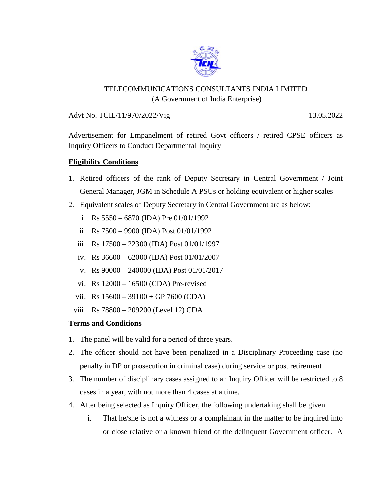

## TELECOMMUNICATIONS CONSULTANTS INDIA LIMITED (A Government of India Enterprise)

Advt No. TCIL/11/970/2022/Vig 13.05.2022

Advertisement for Empanelment of retired Govt officers / retired CPSE officers as Inquiry Officers to Conduct Departmental Inquiry

## **Eligibility Conditions**

- 1. Retired officers of the rank of Deputy Secretary in Central Government / Joint General Manager, JGM in Schedule A PSUs or holding equivalent or higher scales
- 2. Equivalent scales of Deputy Secretary in Central Government are as below:
	- i. Rs  $5550 6870$  (IDA) Pre  $01/01/1992$
	- ii. Rs 7500 9900 (IDA) Post 01/01/1992
	- iii. Rs 17500 22300 (IDA) Post 01/01/1997
	- iv. Rs 36600 62000 (IDA) Post 01/01/2007
	- v. Rs 90000 240000 (IDA) Post 01/01/2017
	- vi. Rs 12000 16500 (CDA) Pre-revised
	- vii. Rs  $15600 39100 + GP 7600 (CDA)$
	- viii. Rs 78800 209200 (Level 12) CDA

## **Terms and Conditions**

- 1. The panel will be valid for a period of three years.
- 2. The officer should not have been penalized in a Disciplinary Proceeding case (no penalty in DP or prosecution in criminal case) during service or post retirement
- 3. The number of disciplinary cases assigned to an Inquiry Officer will be restricted to 8 cases in a year, with not more than 4 cases at a time.
- 4. After being selected as Inquiry Officer, the following undertaking shall be given
	- i. That he/she is not a witness or a complainant in the matter to be inquired into or close relative or a known friend of the delinquent Government officer. A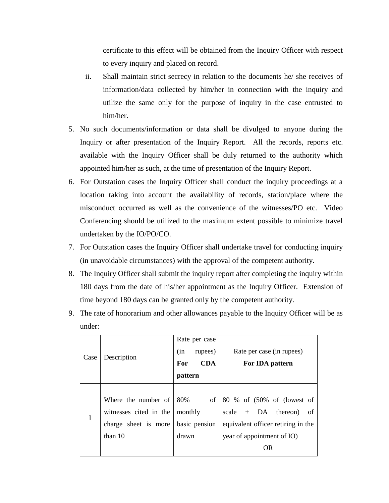certificate to this effect will be obtained from the Inquiry Officer with respect to every inquiry and placed on record.

- ii. Shall maintain strict secrecy in relation to the documents he/ she receives of information/data collected by him/her in connection with the inquiry and utilize the same only for the purpose of inquiry in the case entrusted to him/her.
- 5. No such documents/information or data shall be divulged to anyone during the Inquiry or after presentation of the Inquiry Report. All the records, reports etc. available with the Inquiry Officer shall be duly returned to the authority which appointed him/her as such, at the time of presentation of the Inquiry Report.
- 6. For Outstation cases the Inquiry Officer shall conduct the inquiry proceedings at a location taking into account the availability of records, station/place where the misconduct occurred as well as the convenience of the witnesses/PO etc. Video Conferencing should be utilized to the maximum extent possible to minimize travel undertaken by the IO/PO/CO.
- 7. For Outstation cases the Inquiry Officer shall undertake travel for conducting inquiry (in unavoidable circumstances) with the approval of the competent authority.
- 8. The Inquiry Officer shall submit the inquiry report after completing the inquiry within 180 days from the date of his/her appointment as the Inquiry Officer. Extension of time beyond 180 days can be granted only by the competent authority.
- 9. The rate of honorarium and other allowances payable to the Inquiry Officer will be as under:

|      |                        |               | Rate per case   |                                    |
|------|------------------------|---------------|-----------------|------------------------------------|
|      |                        | (in           | rupees)         | Rate per case (in rupees)          |
| Case | Description            | For           | <b>CDA</b>      | For IDA pattern                    |
|      |                        | pattern       |                 |                                    |
|      |                        |               |                 |                                    |
|      | Where the number of    | 80%           | of <sub>1</sub> | 80 % of (50% of (lowest of         |
| I    | witnesses cited in the | monthly       |                 | scale $+$ DA thereon)<br>of        |
|      | charge sheet is more   | basic pension |                 | equivalent officer retiring in the |
|      | than $10$              | drawn         |                 | year of appointment of IO)         |
|      |                        |               |                 | <b>OR</b>                          |
|      |                        |               |                 |                                    |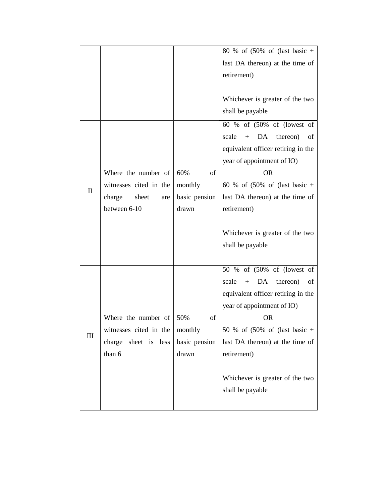|              |                         |               | 80 % of $(50\% \text{ of } (last basic +$            |
|--------------|-------------------------|---------------|------------------------------------------------------|
|              |                         |               | last DA thereon) at the time of                      |
|              |                         |               | retirement)                                          |
|              |                         |               |                                                      |
|              |                         |               | Whichever is greater of the two                      |
|              |                         |               | shall be payable                                     |
|              |                         |               | 60 % of (50% of (lowest of                           |
|              |                         |               | DA<br>scale<br>$+$<br>thereon)<br>of                 |
|              |                         |               | equivalent officer retiring in the                   |
|              |                         |               | year of appointment of IO)                           |
|              | Where the number of     | 60%<br>of     | <b>OR</b>                                            |
|              | witnesses cited in the  | monthly       | 60 % of $(50\% \text{ of } (\text{last basic } +$    |
| $\mathbf{I}$ | charge<br>sheet<br>are  | basic pension | last DA thereon) at the time of                      |
|              | between 6-10            | drawn         | retirement)                                          |
|              |                         |               |                                                      |
|              |                         |               | Whichever is greater of the two                      |
|              |                         |               | shall be payable                                     |
|              |                         |               |                                                      |
|              |                         |               | 50 % of (50% of (lowest of                           |
|              |                         |               | DA<br>thereon)<br>scale<br>$+$<br>of                 |
|              |                         |               | equivalent officer retiring in the                   |
|              |                         |               | year of appointment of IO)                           |
|              | Where the number of     | 50%<br>of     | <b>OR</b>                                            |
|              | witnesses cited in the  | monthly       | 50 % of $(50\% \text{ of } (last \text{ basic } +))$ |
| III          | charge<br>sheet is less | basic pension | last DA thereon) at the time of                      |
|              | than 6                  | drawn         | retirement)                                          |
|              |                         |               |                                                      |
|              |                         |               | Whichever is greater of the two                      |
|              |                         |               | shall be payable                                     |
|              |                         |               |                                                      |
|              |                         |               |                                                      |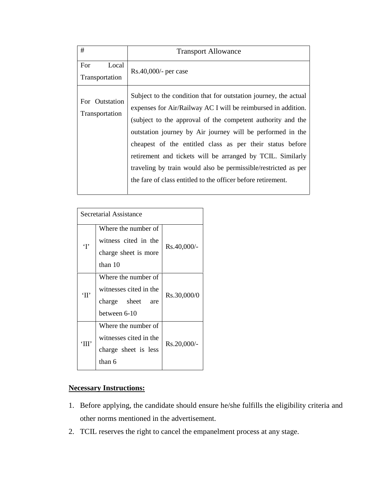| For<br>Local<br>Rs.40,000/- per case<br>Transportation<br>Subject to the condition that for outstation journey, the actual<br>For Outstation<br>expenses for Air/Railway AC I will be reimbursed in addition.<br>Transportation                                                                                                                                                        |
|----------------------------------------------------------------------------------------------------------------------------------------------------------------------------------------------------------------------------------------------------------------------------------------------------------------------------------------------------------------------------------------|
|                                                                                                                                                                                                                                                                                                                                                                                        |
| (subject to the approval of the competent authority and the<br>outstation journey by Air journey will be performed in the<br>cheapest of the entitled class as per their status before<br>retirement and tickets will be arranged by TCIL. Similarly<br>traveling by train would also be permissible/restricted as per<br>the fare of class entitled to the officer before retirement. |

|                 | Secretarial Assistance |             |  |
|-----------------|------------------------|-------------|--|
|                 | Where the number of    | Rs.40,000/- |  |
| $\mathbf{T}$    | witness cited in the   |             |  |
|                 | charge sheet is more   |             |  |
|                 | than $10$              |             |  |
|                 | Where the number of    |             |  |
| $\gamma$        | witnesses cited in the | Rs.30,000/0 |  |
|                 | charge sheet<br>are    |             |  |
|                 | between 6-10           |             |  |
|                 | Where the number of    |             |  |
| $^{\circ}$ HII' | witnesses cited in the | Rs.20,000/- |  |
|                 | charge sheet is less   |             |  |
|                 | than 6                 |             |  |

## **Necessary Instructions:**

- 1. Before applying, the candidate should ensure he/she fulfills the eligibility criteria and other norms mentioned in the advertisement.
- 2. TCIL reserves the right to cancel the empanelment process at any stage.